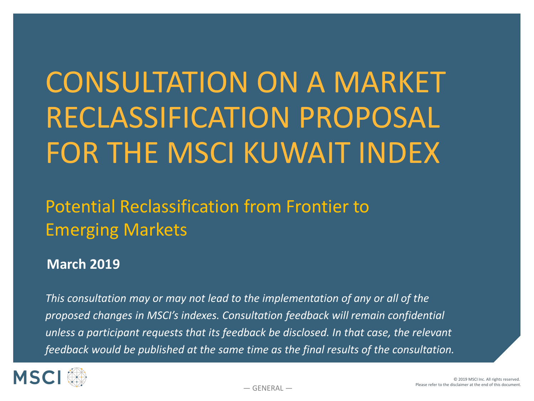# CONSULTATION ON A MARKET RECLASSIFICATION PROPOSAL FOR THE MSCI KUWAIT INDEX

### Potential Reclassification from Frontier to Emerging Markets

#### **March 2019**

*This consultation may or may not lead to the implementation of any or all of the proposed changes in MSCI's indexes. Consultation feedback will remain confidential unless a participant requests that its feedback be disclosed. In that case, the relevant feedback would be published at the same time as the final results of the consultation.*

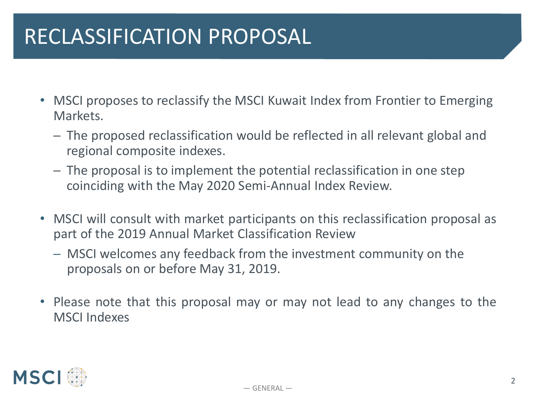### RECLASSIFICATION PROPOSAL

- MSCI proposes to reclassify the MSCI Kuwait Index from Frontier to Emerging Markets.
	- ─ The proposed reclassification would be reflected in all relevant global and regional composite indexes.
	- ─ The proposal is to implement the potential reclassification in one step coinciding with the May 2020 Semi‐Annual Index Review.
- MSCI will consult with market participants on this reclassification proposal as part of the 2019 Annual Market Classification Review
	- ─ MSCI welcomes any feedback from the investment community on the proposals on or before May 31, 2019.
- Please note that this proposal may or may not lead to any changes to the MSCI Indexes

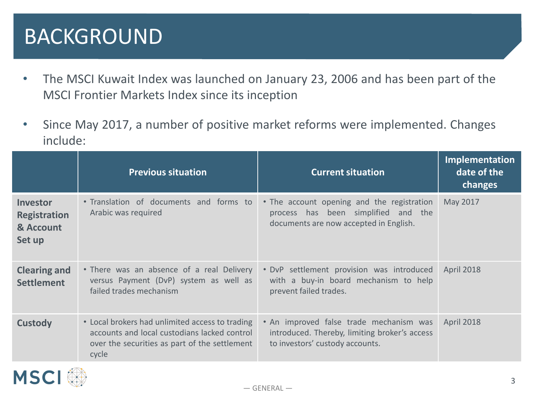### BACKGROUND

- The MSCI Kuwait Index was launched on January 23, 2006 and has been part of the MSCI Frontier Markets Index since its inception
- Since May 2017, a number of positive market reforms were implemented. Changes include:

|                                                        | <b>Previous situation</b>                                                                                                                                 | <b>Current situation</b>                                                                                                    | Implementation<br>date of the<br>changes |
|--------------------------------------------------------|-----------------------------------------------------------------------------------------------------------------------------------------------------------|-----------------------------------------------------------------------------------------------------------------------------|------------------------------------------|
| Investor<br><b>Registration</b><br>& Account<br>Set up | . Translation of documents and forms to<br>Arabic was required                                                                                            | • The account opening and the registration<br>process has been simplified and the<br>documents are now accepted in English. | May 2017                                 |
| <b>Clearing and</b><br><b>Settlement</b>               | • There was an absence of a real Delivery<br>versus Payment (DvP) system as well as<br>failed trades mechanism                                            | . DvP settlement provision was introduced<br>with a buy-in board mechanism to help<br>prevent failed trades.                | April 2018                               |
| <b>Custody</b>                                         | • Local brokers had unlimited access to trading<br>accounts and local custodians lacked control<br>over the securities as part of the settlement<br>cycle | • An improved false trade mechanism was<br>introduced. Thereby, limiting broker's access<br>to investors' custody accounts. | <b>April 2018</b>                        |

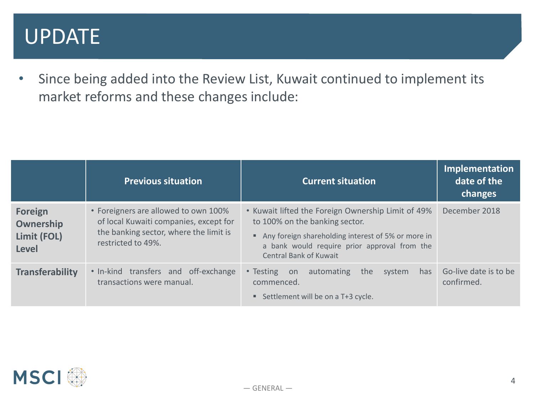### UPDATE

• Since being added into the Review List, Kuwait continued to implement its market reforms and these changes include:

|                                                            | <b>Previous situation</b>                                                                                                                      | <b>Current situation</b>                                                                                                                                                                                                    | Implementation<br>date of the<br>changes |
|------------------------------------------------------------|------------------------------------------------------------------------------------------------------------------------------------------------|-----------------------------------------------------------------------------------------------------------------------------------------------------------------------------------------------------------------------------|------------------------------------------|
| <b>Foreign</b><br>Ownership<br>Limit (FOL)<br><b>Level</b> | • Foreigners are allowed to own 100%<br>of local Kuwaiti companies, except for<br>the banking sector, where the limit is<br>restricted to 49%. | • Kuwait lifted the Foreign Ownership Limit of 49%<br>to 100% on the banking sector.<br>Any foreign shareholding interest of 5% or more in<br>a bank would require prior approval from the<br><b>Central Bank of Kuwait</b> | December 2018                            |
| <b>Transferability</b>                                     | • In-kind transfers and off-exchange<br>transactions were manual.                                                                              | • Testing<br>automating<br>the<br>system<br>has<br>on<br>commenced.<br>Settlement will be on a T+3 cycle.                                                                                                                   | Go-live date is to be<br>confirmed.      |

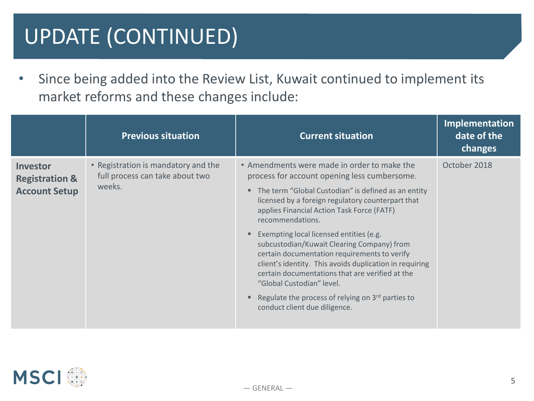# UPDATE (CONTINUED)

• Since being added into the Review List, Kuwait continued to implement its market reforms and these changes include:

| <b>Previous situation</b>                                                                                                                         | <b>Current situation</b>                                                                                                                                                                                                                                                                                                                                                                                                                                                                                                                                                                                                                                | Implementation<br>date of the<br>changes |
|---------------------------------------------------------------------------------------------------------------------------------------------------|---------------------------------------------------------------------------------------------------------------------------------------------------------------------------------------------------------------------------------------------------------------------------------------------------------------------------------------------------------------------------------------------------------------------------------------------------------------------------------------------------------------------------------------------------------------------------------------------------------------------------------------------------------|------------------------------------------|
| • Registration is mandatory and the<br>Investor<br>full process can take about two<br><b>Registration &amp;</b><br>weeks.<br><b>Account Setup</b> | • Amendments were made in order to make the<br>process for account opening less cumbersome.<br>• The term "Global Custodian" is defined as an entity<br>licensed by a foreign regulatory counterpart that<br>applies Financial Action Task Force (FATF)<br>recommendations.<br>■ Exempting local licensed entities (e.g.<br>subcustodian/Kuwait Clearing Company) from<br>certain documentation requirements to verify<br>client's identity. This avoids duplication in requiring<br>certain documentations that are verified at the<br>"Global Custodian" level.<br>Regulate the process of relying on 3rd parties to<br>conduct client due diligence. | October 2018                             |
|                                                                                                                                                   |                                                                                                                                                                                                                                                                                                                                                                                                                                                                                                                                                                                                                                                         |                                          |

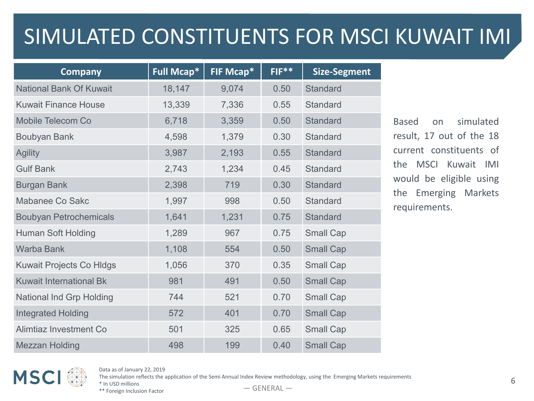### SIMULATED CONSTITUENTS FOR MSCI KUWAIT IMI

| <b>Company</b>                  | <b>Full Mcap*</b> | FIF Mcap* | $FIF**$ | <b>Size-Segment</b> |
|---------------------------------|-------------------|-----------|---------|---------------------|
| <b>National Bank Of Kuwait</b>  | 18,147            | 9,074     | 0.50    | <b>Standard</b>     |
| <b>Kuwait Finance House</b>     | 13,339            | 7,336     | 0.55    | <b>Standard</b>     |
| <b>Mobile Telecom Co</b>        | 6,718             | 3,359     | 0.50    | <b>Standard</b>     |
| <b>Boubyan Bank</b>             | 4,598             | 1,379     | 0.30    | Standard            |
| <b>Agility</b>                  | 3,987             | 2,193     | 0.55    | <b>Standard</b>     |
| <b>Gulf Bank</b>                | 2,743             | 1,234     | 0.45    | <b>Standard</b>     |
| <b>Burgan Bank</b>              | 2,398             | 719       | 0.30    | <b>Standard</b>     |
| Mabanee Co Sakc                 | 1,997             | 998       | 0.50    | <b>Standard</b>     |
| <b>Boubyan Petrochemicals</b>   | 1,641             | 1,231     | 0.75    | <b>Standard</b>     |
| Human Soft Holding              | 1,289             | 967       | 0.75    | <b>Small Cap</b>    |
| <b>Warba Bank</b>               | 1,108             | 554       | 0.50    | <b>Small Cap</b>    |
| <b>Kuwait Projects Co Hldgs</b> | 1,056             | 370       | 0.35    | <b>Small Cap</b>    |
| <b>Kuwait International Bk</b>  | 981               | 491       | 0.50    | <b>Small Cap</b>    |
| <b>National Ind Grp Holding</b> | 744               | 521       | 0.70    | <b>Small Cap</b>    |
| <b>Integrated Holding</b>       | 572               | 401       | 0.70    | <b>Small Cap</b>    |
| Alimtiaz Investment Co          | 501               | 325       | 0.65    | <b>Small Cap</b>    |
| <b>Mezzan Holding</b>           | 498               | 199       | 0.40    | <b>Small Cap</b>    |

Based on simulated result, 17 out of the 18 current constituents of the MSCI Kuwait IMI would be eligible using the Emerging Markets requirements.



Data as of January 22, 2019

The simulation reflects the application of the Semi Annual Index Review methodology, using the Emerging Markets requirements

\* In USD millions \*\* Foreign Inclusion Factor

 $-$  GENERAL  $-$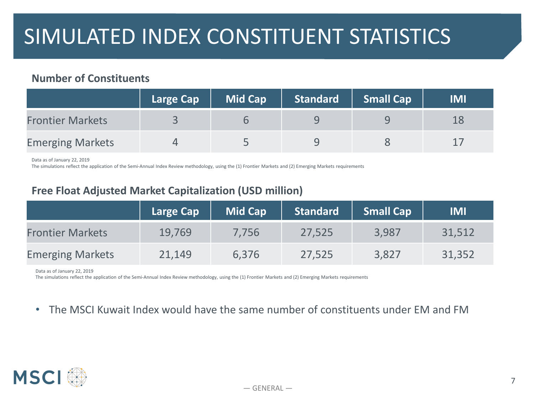#### **Number of Constituents**

|                         | Large Cap | <b>Mid Cap</b> | Standard   Small Cap | <b>IMI</b> |
|-------------------------|-----------|----------------|----------------------|------------|
| <b>Frontier Markets</b> |           |                |                      |            |
| <b>Emerging Markets</b> |           |                |                      |            |

Data as of January 22, 2019

The simulations reflect the application of the Semi‐Annual Index Review methodology, using the (1) Frontier Markets and (2) Emerging Markets requirements

#### **Free Float Adjusted Market Capitalization (USD million)**

|                         | <b>Large Cap</b> | <b>Mid Cap</b> | <b>Standard</b> | <b>Small Cap</b> | <b>IMI</b> |
|-------------------------|------------------|----------------|-----------------|------------------|------------|
| <b>Frontier Markets</b> | 19,769           | 7,756          | 27,525          | 3,987            | 31,512     |
| <b>Emerging Markets</b> | 21,149           | 6,376          | 27,525          | 3,827            | 31,352     |

Data as of January 22, 2019

The simulations reflect the application of the Semi‐Annual Index Review methodology, using the (1) Frontier Markets and (2) Emerging Markets requirements

• The MSCI Kuwait Index would have the same number of constituents under EM and FM

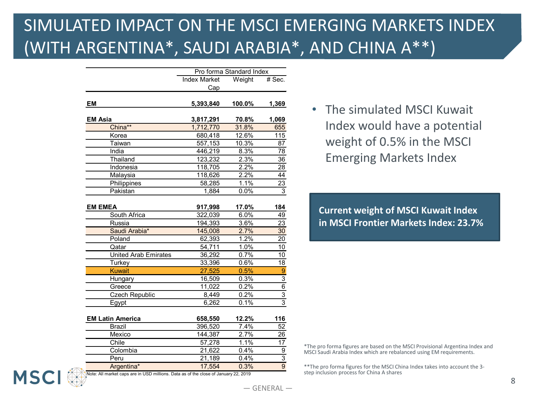### SIMULATED IMPACT ON THE MSCI EMERGING MARKETS INDEX (WITH ARGENTINA\*, SAUDI ARABIA\*, AND CHINA A\*\*)

|                             | Pro forma Standard Index |         |                 |
|-----------------------------|--------------------------|---------|-----------------|
|                             | <b>Index Market</b>      | Weight  | # Sec.          |
|                             | Cap                      |         |                 |
|                             |                          |         |                 |
| <b>EM</b>                   | 5,393,840                | 100.0%  | 1,369           |
|                             |                          |         |                 |
| <b>EM Asia</b>              | 3,817,291                | 70.8%   | 1,069           |
| China**                     | 1,712,770                | 31.8%   | 655             |
| Korea                       | 680,418                  | 12.6%   | 115             |
| Taiwan                      | 557,153                  | 10.3%   | 87              |
| India                       | 446,219                  | 8.3%    | 78              |
| Thailand                    | 123,232                  | 2.3%    | 36              |
| Indonesia                   | 118,705                  | 2.2%    | $\overline{28}$ |
| Malaysia                    | 118,626                  | 2.2%    | 44              |
| Philippines                 | 58,285                   | 1.1%    | 23              |
| Pakistan                    | 1,884                    | 0.0%    | 3               |
|                             |                          |         |                 |
| <b>EM EMEA</b>              | 917,998                  | 17.0%   | 184             |
| South Africa                | 322,039                  | 6.0%    | 49              |
| Russia                      | 194,393                  | 3.6%    | 23              |
| Saudi Arabia*               | 145,008                  | 2.7%    | 30              |
| Poland                      | 62,393                   | 1.2%    | 20              |
| Qatar                       | 54,711                   | 1.0%    | 10              |
| <b>United Arab Emirates</b> | 36,292                   | 0.7%    | 10              |
| Turkey                      | 33,396                   | $0.6\%$ | 18              |
| <b>Kuwait</b>               | 27,525                   | 0.5%    | 9               |
| Hungary                     | 16,509                   | 0.3%    | $\overline{3}$  |
| Greece                      | 11,022                   | 0.2%    | $\overline{6}$  |
| Czech Republic              | 8,449                    | 0.2%    | $\frac{1}{3}$   |
| Egypt                       | 6,262                    | 0.1%    | $\overline{3}$  |
|                             |                          |         |                 |
| <b>EM Latin America</b>     | 658,550                  | 12.2%   | 116             |
| <b>Brazil</b>               | 396,520                  | 7.4%    | 52              |
| Mexico                      | 144,387                  | 2.7%    | 26              |
| Chile                       | 57,278                   | 1.1%    | 17              |
| Colombia                    | 21,622                   | 0.4%    | 9               |
| Peru                        | 21,189                   | 0.4%    | $\overline{3}$  |
| Argentina*                  | 17,554                   | 0.3%    | $\overline{9}$  |

• The simulated MSCI Kuwait Index would have a potential weight of 0.5% in the MSCI Emerging Markets Index

**Current weight of MSCI Kuwait Index in MSCI Frontier Markets Index: 23.7%** 

\*The pro forma figures are based on the MSCI Provisional Argentina Index and MSCI Saudi Arabia Index which are rebalanced using EM requirements.

\*\*The pro forma figures for the MSCI China Index takes into account the 3- step inclusion process for China A shares

: All market caps are in USD millions. Data as of the close of January 22, 2019

**MSC**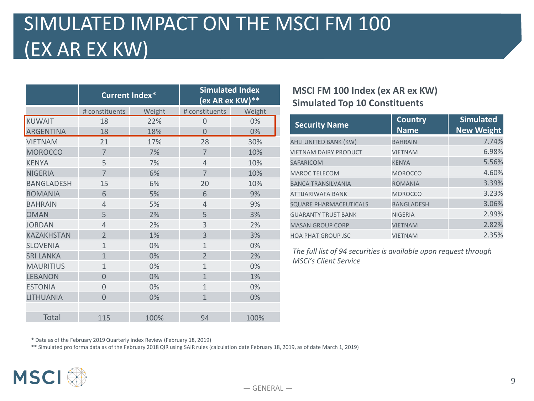### SIMULATED IMPACT ON THE MSCI FM 100 (EX AR EX KW)

|                   | <b>Current Index*</b> |        | <b>Simulated Index</b><br>(ex AR ex $KW)**$ |        |
|-------------------|-----------------------|--------|---------------------------------------------|--------|
|                   | # constituents        | Weight | # constituents                              | Weight |
| <b>KUWAIT</b>     | 18                    | 22%    | 0                                           | 0%     |
| <b>ARGENTINA</b>  | 18                    | 18%    | $\Omega$                                    | $0\%$  |
| <b>VIETNAM</b>    | 21                    | 17%    | 28                                          | 30%    |
| <b>MOROCCO</b>    | $\overline{7}$        | 7%     | $\overline{7}$                              | 10%    |
| <b>KFNYA</b>      | 5                     | 7%     | 4                                           | 10%    |
| <b>NIGFRIA</b>    | $\overline{7}$        | 6%     | $\overline{7}$                              | 10%    |
| <b>BANGLADESH</b> | 15                    | 6%     | 20                                          | 10%    |
| <b>ROMANIA</b>    | 6                     | 5%     | 6                                           | 9%     |
| <b>BAHRAIN</b>    | $\overline{4}$        | 5%     | 4                                           | 9%     |
| <b>OMAN</b>       | 5                     | 2%     | 5                                           | 3%     |
| <b>JORDAN</b>     | $\overline{4}$        | 2%     | 3                                           | 2%     |
| <b>KAZAKHSTAN</b> | $\overline{2}$        | 1%     | 3                                           | 3%     |
| <b>SLOVENIA</b>   | 1                     | 0%     | $\mathbf{1}$                                | 0%     |
| <b>SRI LANKA</b>  | $\mathbf{1}$          | 0%     | $\overline{2}$                              | 2%     |
| <b>MAURITIUS</b>  | 1                     | 0%     | $\mathbf{1}$                                | 0%     |
| <b>LEBANON</b>    | $\Omega$              | 0%     | $\mathbf{1}$                                | 1%     |
| <b>ESTONIA</b>    | $\Omega$              | 0%     | $\mathbf{1}$                                | 0%     |
| LITHUANIA         | $\Omega$              | 0%     | $\mathbf{1}$                                | 0%     |
|                   |                       |        |                                             |        |
| <b>Total</b>      | 115                   | 100%   | 94                                          | 100%   |

#### **MSCI FM 100 Index (ex AR ex KW) Simulated Top 10 Constituents**

| <b>Security Name</b>          | <b>Country</b><br><b>Name</b> | <b>Simulated</b><br><b>New Weight</b> |
|-------------------------------|-------------------------------|---------------------------------------|
| AHLI UNITED BANK (KW)         | <b>BAHRAIN</b>                | 7.74%                                 |
| <b>VIETNAM DAIRY PRODUCT</b>  | <b>VIETNAM</b>                | 6.98%                                 |
| <b>SAFARICOM</b>              | <b>KENYA</b>                  | 5.56%                                 |
| <b>MAROC TELECOM</b>          | <b>MOROCCO</b>                | 4.60%                                 |
| <b>BANCA TRANSILVANIA</b>     | <b>ROMANIA</b>                | 3.39%                                 |
| <b>ATTIJARIWAFA BANK</b>      | <b>MOROCCO</b>                | 3.23%                                 |
| <b>SQUARE PHARMACEUTICALS</b> | <b>BANGLADESH</b>             | 3.06%                                 |
| <b>GUARANTY TRUST BANK</b>    | <b>NIGERIA</b>                | 2.99%                                 |
| <b>MASAN GROUP CORP</b>       | <b>VIETNAM</b>                | 2.82%                                 |
| <b>HOA PHAT GROUP JSC</b>     | <b>VIETNAM</b>                | 2.35%                                 |

*The full list of 94 securities is available upon request through MSCI's Client Service*

\* Data as of the February 2019 Quarterly index Review (February 18, 2019)

\*\* Simulated pro forma data as of the February 2018 QIR using SAIR rules (calculation date February 18, 2019, as of date March 1, 2019)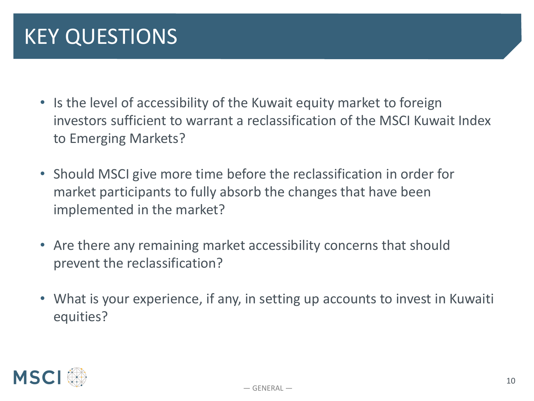# KEY QUESTIONS

- Is the level of accessibility of the Kuwait equity market to foreign investors sufficient to warrant a reclassification of the MSCI Kuwait Index to Emerging Markets?
- Should MSCI give more time before the reclassification in order for market participants to fully absorb the changes that have been implemented in the market?
- Are there any remaining market accessibility concerns that should prevent the reclassification?
- What is your experience, if any, in setting up accounts to invest in Kuwaiti equities?

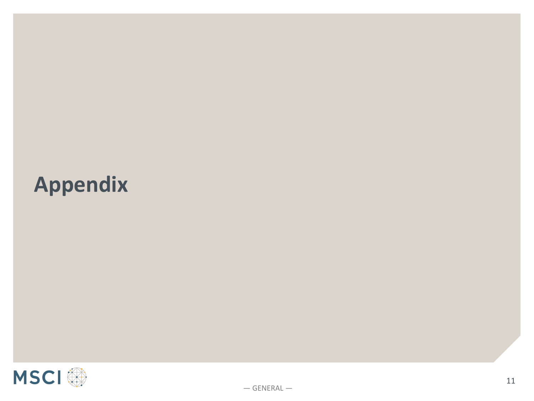# **Appendix**

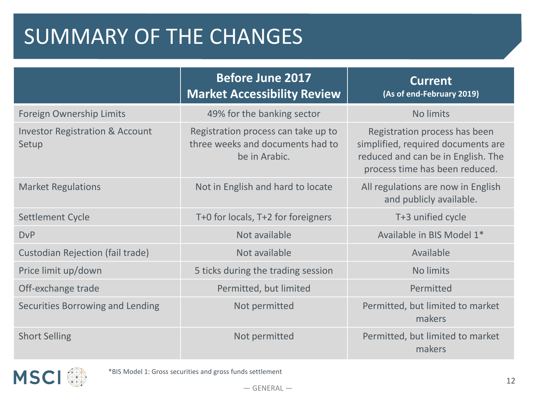# SUMMARY OF THE CHANGES

|                                                     | <b>Before June 2017</b><br><b>Market Accessibility Review</b>                            | <b>Current</b><br>(As of end-February 2019)                                                                                                 |
|-----------------------------------------------------|------------------------------------------------------------------------------------------|---------------------------------------------------------------------------------------------------------------------------------------------|
| Foreign Ownership Limits                            | 49% for the banking sector                                                               | No limits                                                                                                                                   |
| <b>Investor Registration &amp; Account</b><br>Setup | Registration process can take up to<br>three weeks and documents had to<br>be in Arabic. | Registration process has been<br>simplified, required documents are<br>reduced and can be in English. The<br>process time has been reduced. |
| <b>Market Regulations</b>                           | Not in English and hard to locate                                                        | All regulations are now in English<br>and publicly available.                                                                               |
| Settlement Cycle                                    | T+0 for locals, T+2 for foreigners                                                       | T+3 unified cycle                                                                                                                           |
| <b>DvP</b>                                          | Not available                                                                            | Available in BIS Model 1*                                                                                                                   |
| Custodian Rejection (fail trade)                    | Not available                                                                            | Available                                                                                                                                   |
| Price limit up/down                                 | 5 ticks during the trading session                                                       | No limits                                                                                                                                   |
| Off-exchange trade                                  | Permitted, but limited                                                                   | Permitted                                                                                                                                   |
| Securities Borrowing and Lending                    | Not permitted                                                                            | Permitted, but limited to market<br>makers                                                                                                  |
| <b>Short Selling</b>                                | Not permitted                                                                            | Permitted, but limited to market<br>makers                                                                                                  |

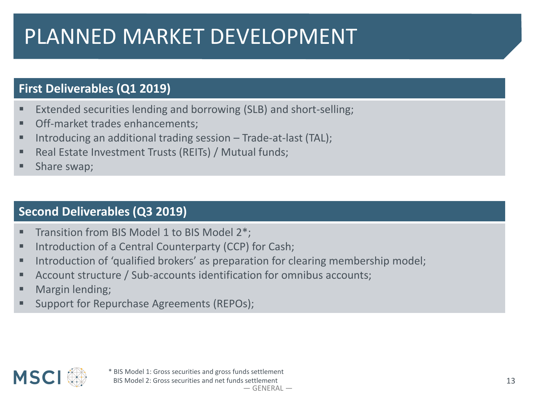# PLANNED MARKET DEVELOPMENT

#### **First Deliverables (Q1 2019)**

- Extended securities lending and borrowing (SLB) and short-selling;
- **Off-market trades enhancements:**
- Introducing an additional trading session  $-$  Trade-at-last (TAL);
- Real Estate Investment Trusts (REITs) / Mutual funds;
- Share swap;

#### **Second Deliverables (Q3 2019)**

- **Transition from BIS Model 1 to BIS Model 2\*;**
- Introduction of a Central Counterparty (CCP) for Cash;
- Introduction of 'qualified brokers' as preparation for clearing membership model;
- Account structure / Sub-accounts identification for omnibus accounts;
- Margin lending;
- Support for Repurchase Agreements (REPOs);

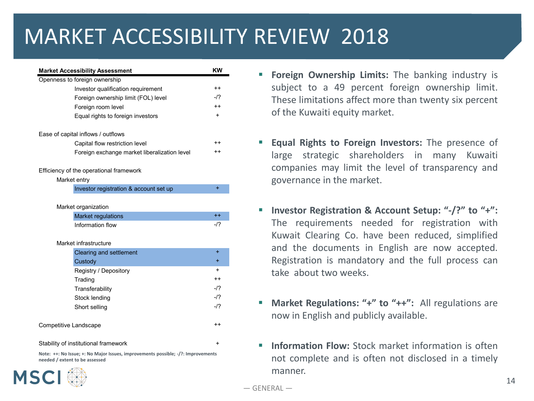### MARKET ACCESSIBILITY REVIEW 2018

| <b>Market Accessibility Assessment</b>                  | <b>KW</b>       |
|---------------------------------------------------------|-----------------|
| Openness to foreign ownership                           |                 |
| Investor qualification requirement                      | $^{++}$         |
| Foreign ownership limit (FOL) level                     | -1?             |
| Foreign room level                                      | $^{++}$         |
| Equal rights to foreign investors                       | $\ddot{}$       |
| Ease of capital inflows / outflows                      |                 |
| Capital flow restriction level                          | ++              |
| Foreign exchange market liberalization level            | $^{\mathrm{+}}$ |
| Efficiency of the operational framework<br>Market entry |                 |
| Investor registration & account set up                  | $\ddot{}$       |
| Market organization                                     |                 |
| <b>Market regulations</b>                               | $++$            |
| Information flow                                        | $-12$           |
| Market infrastructure                                   |                 |
| Clearing and settlement                                 | $\ddot{}$       |
| Custody                                                 | $\ddot{}$       |
| Registry / Depository                                   | $\ddot{}$       |
| Trading                                                 | $^{++}$         |
| Transferability                                         | $-12$           |
| Stock lending                                           | $-17$           |
| Short selling                                           | $-12$           |
| Competitive Landscape                                   | ++              |
| Stability of institutional framework                    | $\ddot{}$       |

**Note: ++: No Issue; +: No Major Issues, improvements possible; -/?: Improvements needed / extent to be assessed**



- **Foreign Ownership Limits:** The banking industry is subject to a 49 percent foreign ownership limit. These limitations affect more than twenty six percent of the Kuwaiti equity market.
- **Equal Rights to Foreign Investors:** The presence of large strategic shareholders in many Kuwaiti companies may limit the level of transparency and governance in the market.
- **Investor Registration & Account Setup: "-/?" to "+":**  The requirements needed for registration with Kuwait Clearing Co. have been reduced, simplified and the documents in English are now accepted. Registration is mandatory and the full process can take about two weeks.
- **Market Regulations: "+" to "++":** All regulations are now in English and publicly available.
- **Information Flow:** Stock market information is often not complete and is often not disclosed in a timely manner.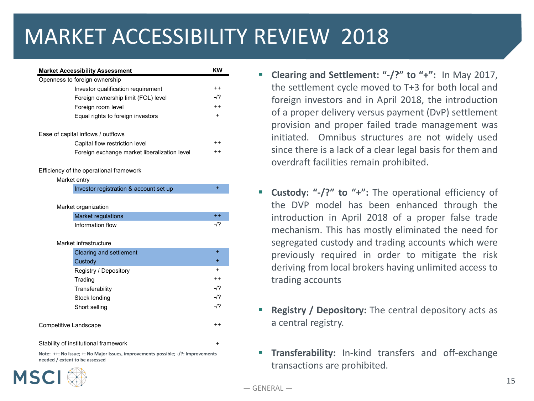### MARKET ACCESSIBILITY REVIEW 2018

|                       | <b>Market Accessibility Assessment</b>                               | <b>KW</b>       |
|-----------------------|----------------------------------------------------------------------|-----------------|
|                       | Openness to foreign ownership                                        |                 |
|                       | Investor qualification requirement                                   | $^{++}$         |
|                       | Foreign ownership limit (FOL) level                                  | -17             |
|                       | Foreign room level                                                   | $++$            |
|                       | Equal rights to foreign investors                                    | $\ddot{}$       |
|                       | Ease of capital inflows / outflows                                   |                 |
|                       | Capital flow restriction level                                       | $^{\mathrm{+}}$ |
|                       | Foreign exchange market liberalization level                         | $^{\mathrm{+}}$ |
| Market entry          | Efficiency of the operational framework                              |                 |
|                       | Investor registration & account set up                               | $+$             |
|                       | Market organization<br><b>Market regulations</b><br>Information flow | $^{++}$<br>-1?  |
|                       | Market infrastructure                                                |                 |
|                       | Clearing and settlement                                              | $+$             |
|                       | Custody                                                              | $\ddot{}$       |
|                       | Registry / Depository                                                | $\ddot{}$       |
|                       | Trading                                                              | $^{++}$         |
|                       | Transferability                                                      | $-12$           |
|                       | Stock lending                                                        | $-17$           |
|                       | Short selling                                                        | $-12$           |
| Competitive Landscape |                                                                      | $^{++}$         |
|                       | Stability of institutional framework                                 | $\ddot{}$       |

**Note: ++: No Issue; +: No Major Issues, improvements possible; -/?: Improvements needed / extent to be assessed**



- **Clearing and Settlement: "-/?" to "+":** In May 2017, the settlement cycle moved to T+3 for both local and foreign investors and in April 2018, the introduction of a proper delivery versus payment (DvP) settlement provision and proper failed trade management was initiated. Omnibus structures are not widely used since there is a lack of a clear legal basis for them and overdraft facilities remain prohibited.
- **Custody: "-/?" to "+":** The operational efficiency of the DVP model has been enhanced through the introduction in April 2018 of a proper false trade mechanism. This has mostly eliminated the need for segregated custody and trading accounts which were previously required in order to mitigate the risk deriving from local brokers having unlimited access to trading accounts
- **Registry / Depository:** The central depository acts as a central registry.
- **Transferability:** In-kind transfers and off-exchange transactions are prohibited.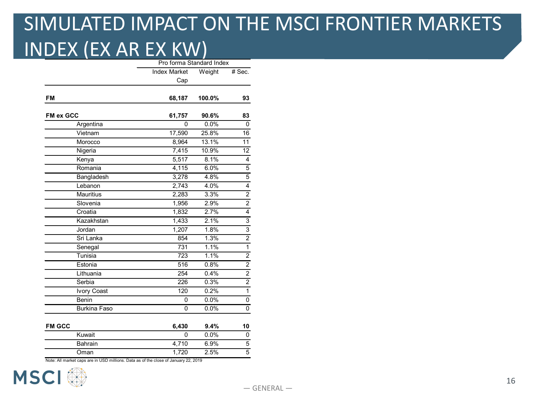### SIMULATED IMPACT ON THE MSCI FRONTIER MARKETS INDEX (EX AR EX KW)

|                     |                     | Pro forma Standard Index     |                |  |
|---------------------|---------------------|------------------------------|----------------|--|
|                     | <b>Index Market</b> | $\overline{\mathsf{Weight}}$ | # Sec.         |  |
|                     | Cap                 |                              |                |  |
| <b>FM</b>           | 68,187              | 100.0%                       | 93             |  |
| <b>FM ex GCC</b>    | 61,757              | 90.6%                        | 83             |  |
| Argentina           | 0                   | 0.0%                         | $\mathbf 0$    |  |
| Vietnam             | 17,590              | 25.8%                        | 16             |  |
| Morocco             | 8,964               | 13.1%                        | 11             |  |
| Nigeria             | 7,415               | 10.9%                        | 12             |  |
| Kenya               | 5,517               | 8.1%                         | 4              |  |
| Romania             | 4,115               | 6.0%                         | 5              |  |
| Bangladesh          | 3,278               | 4.8%                         |                |  |
| Lebanon             | 2,743               | 4.0%                         |                |  |
| <b>Mauritius</b>    | 2,283               | 3.3%                         |                |  |
| Slovenia            | 1,956               | 2.9%                         |                |  |
| Croatia             | 1,832               | 2.7%                         | $\frac{2}{2}$  |  |
| Kazakhstan          | 1,433               | 2.1%                         |                |  |
| Jordan              | 1,207               | 1.8%                         |                |  |
| Sri Lanka           | 854                 | 1.3%                         |                |  |
| Senegal             | 731                 | 1.1%                         |                |  |
| Tunisia             | 723                 | 1.1%                         |                |  |
| Estonia             | 516                 | 0.8%                         |                |  |
| Lithuania           | 254                 | 0.4%                         |                |  |
| Serbia              | 226                 | 0.3%                         | $\frac{2}{2}$  |  |
| <b>Ivory Coast</b>  | 120                 | 0.2%                         |                |  |
| Benin               | 0                   | 0.0%                         | $\overline{0}$ |  |
| <b>Burkina Faso</b> | 0                   | 0.0%                         | 0              |  |
| <b>FM GCC</b>       | 6,430               | 9.4%                         | 10             |  |
| Kuwait              | 0                   | 0.0%                         | 0              |  |
| Bahrain             | 4,710               | 6.9%                         |                |  |
| Oman                | 1,720               | 2.5%                         | $\overline{5}$ |  |

Note: All market caps are in USD millions. Data as of the close of January 22, 2019

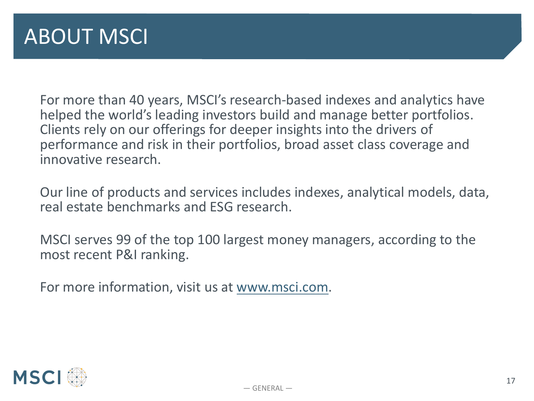For more than 40 years, MSCI's research-based indexes and analytics have helped the world's leading investors build and manage better portfolios. Clients rely on our offerings for deeper insights into the drivers of performance and risk in their portfolios, broad asset class coverage and innovative research.

Our line of products and services includes indexes, analytical models, data, real estate benchmarks and ESG research.

MSCI serves 99 of the top 100 largest money managers, according to the most recent P&I ranking.

For more information, visit us at www.msci.com.